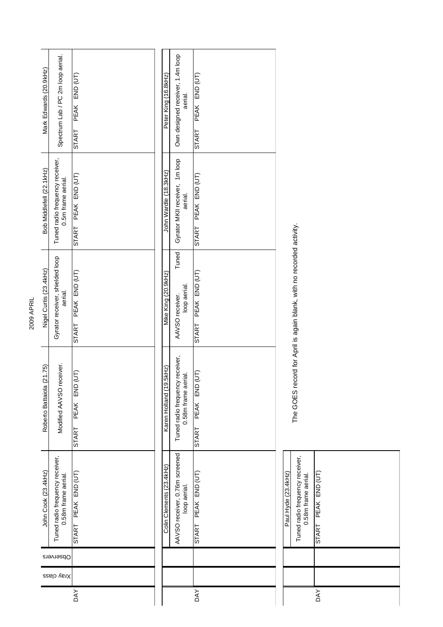| Mark Edwards (20.9kHz)       | Spectrum Lab / PC 2m loop aerial.                      | PEAK END (UT)<br><b>START</b>    |  | Peter King (16.8kHz)        | Own designed receiver, 1.4m loop<br>aerial.            | PEAK END (UT)<br><b>START</b>    |                     |                                                                      |
|------------------------------|--------------------------------------------------------|----------------------------------|--|-----------------------------|--------------------------------------------------------|----------------------------------|---------------------|----------------------------------------------------------------------|
| Bob Middlefell (22.1 kHz)    | Tuned radio frequency receiver,<br>0.5m frame aerial.  | START PEAK END (UT)              |  | John Wardle (18.3kHz)       | Gyrator MKII receiver, 1m loop<br>aerial.              | START PEAK END (UT)              |                     |                                                                      |
| Nigel Curtis (23.4kHz)       | Gyrator receiver, shielded loop<br>aerial.             | PEAK END (UT)<br>START           |  | Mike King (20.9kHz)         | Tuned <sup>1</sup><br>loop aerial.<br>AAVSO receiver.  | PEAK END (UT)<br><b>START</b>    |                     | The GOES record for April is again blank, with no recorded activity. |
| (21.75)<br>Roberto Battaiola | Modified AAVSO receiver.                               | (UT)<br>PEAK END<br><b>START</b> |  | SkHz)<br>Karen Holland (19. | Tuned radio frequency receiver,<br>0.58m frame aerial. | (UT)<br>PEAK END<br><b>START</b> |                     |                                                                      |
| John Cook (23.4kHz)          | Tuned radio frequency receiver,<br>0.58m frame aerial. | START PEAK END (UT)              |  | Colin Clements (23.4kHz)    | AAVSO receiver, 0.76m screened<br>loop aerial.         | START PEAK END (UT)              | Paul Hyde (23.4kHz) | Tuned radio frequency receiver,<br>n 58m frame aerial                |
|                              | Observers                                              |                                  |  |                             |                                                        |                                  |                     |                                                                      |
| Xray class                   |                                                        |                                  |  |                             |                                                        |                                  |                     |                                                                      |
| DAY<br><b>DAY</b>            |                                                        |                                  |  |                             |                                                        |                                  |                     |                                                                      |

2009 APRIL

START PEAK END (UT) **U.58m frame aerial.** 0.58m frame aerial. DAY START PEAK DAY